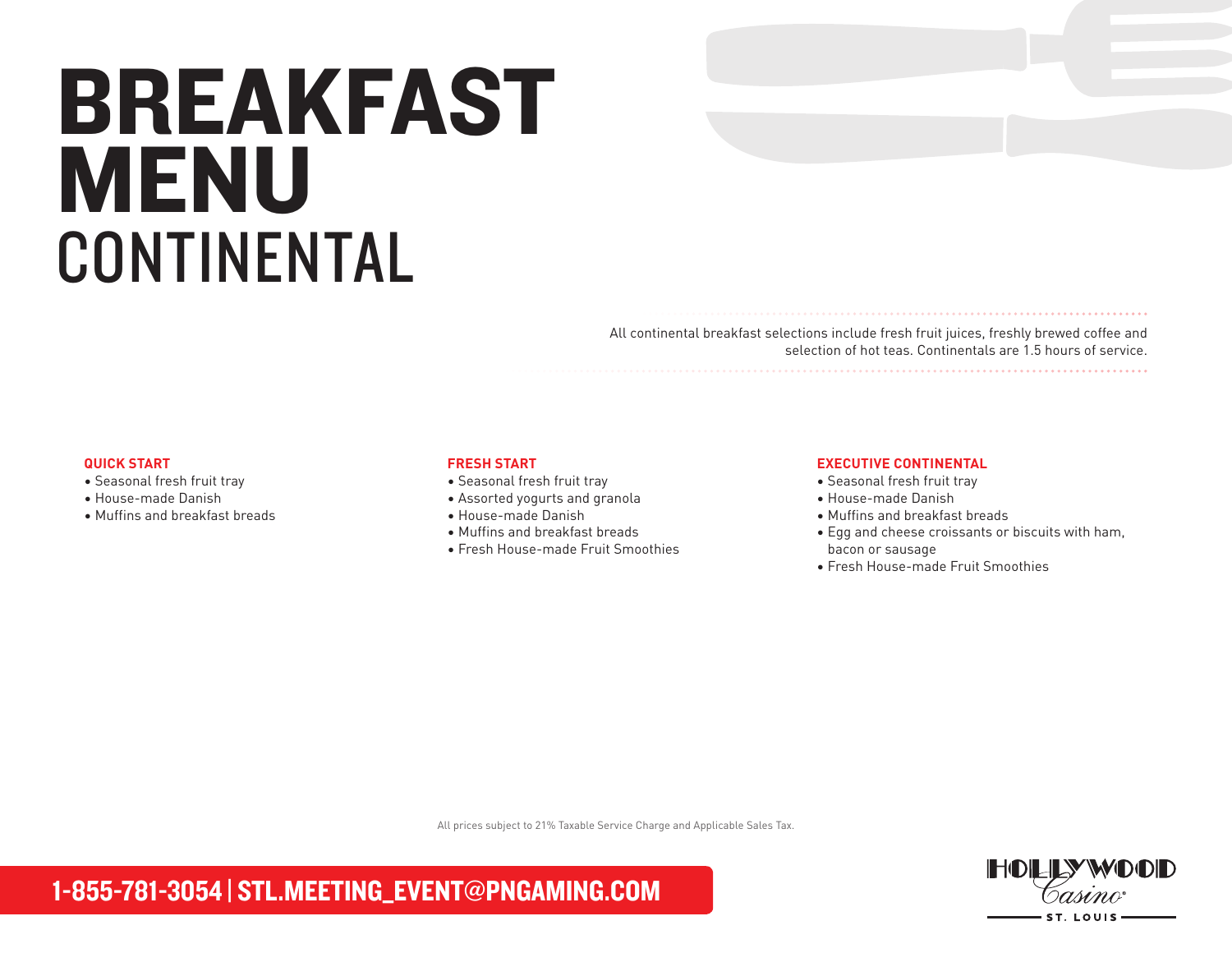# BREAKFAST MENU CONTINENTAL

All continental breakfast selections include fresh fruit juices, freshly brewed coffee and selection of hot teas. Continentals are 1.5 hours of service.

#### **QUICK START**

- Seasonal fresh fruit tray
- House-made Danish
- Muffins and breakfast breads

#### **FRESH START**

- Seasonal fresh fruit tray
- Assorted yogurts and granola
- House-made Danish
- Muffins and breakfast breads
- Fresh House-made Fruit Smoothies

#### **EXECUTIVE CONTINENTAL**

- Seasonal fresh fruit tray
- House-made Danish
- Muffins and breakfast breads
- Egg and cheese croissants or biscuits with ham, bacon or sausage

• Fresh House-made Fruit Smoothies

All prices subject to 21% Taxable Service Charge and Applicable Sales Tax.